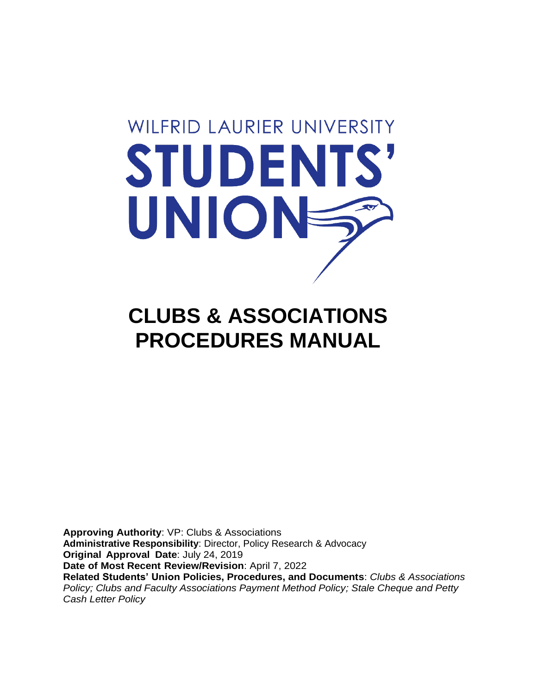# **WILFRID LAURIER UNIVERSITY** STUDENTS' UNIONE

# **CLUBS & ASSOCIATIONS PROCEDURES MANUAL**

**Approving Authority**: VP: Clubs & Associations **Administrative Responsibility**: Director, Policy Research & Advocacy **Original Approval Date**: July 24, 2019 **Date of Most Recent Review/Revision**: April 7, 2022 **Related Students' Union Policies, Procedures, and Documents**: *Clubs & Associations Policy; Clubs and Faculty Associations Payment Method Policy; Stale Cheque and Petty Cash Letter Policy*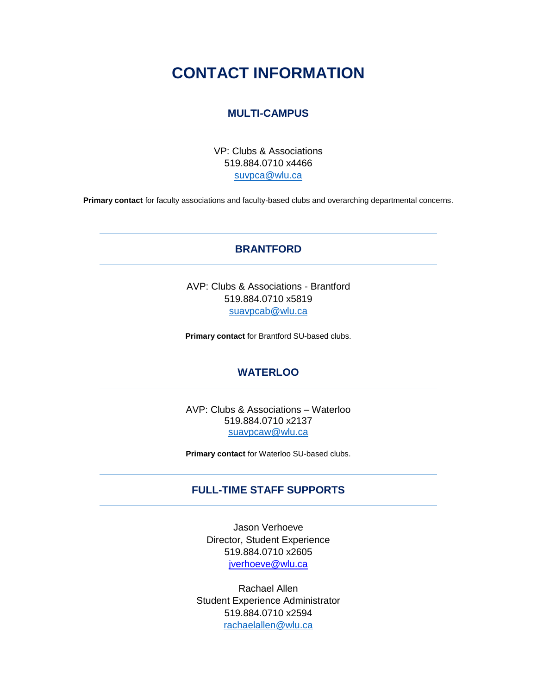## **CONTACT INFORMATION**

#### **MULTI-CAMPUS**

VP: Clubs & Associations 519.884.0710 x4466 [suvpca@wlu.ca](mailto:suvpca@wlu.ca)

**Primary contact** for faculty associations and faculty-based clubs and overarching departmental concerns.

#### **BRANTFORD**

AVP: Clubs & Associations - Brantford 519.884.0710 x5819 [suavpcab@wlu.ca](mailto:suavpcab@wlu.ca)

**Primary contact** for Brantford SU-based clubs.

#### **WATERLOO**

AVP: Clubs & Associations – Waterloo 519.884.0710 x2137 [suavpcaw@wlu.ca](mailto:suavpcaw@wlu.ca)

**Primary contact** for Waterloo SU-based clubs.

#### **FULL-TIME STAFF SUPPORTS**

Jason Verhoeve Director, Student Experience 519.884.0710 x2605 [jverhoeve@wlu.ca](mailto:jverhoeve@wlu.ca)

Rachael Allen Student Experience Administrator 519.884.0710 x2594 [rachaelallen@wlu.ca](mailto:rachaelallen@wlu.ca)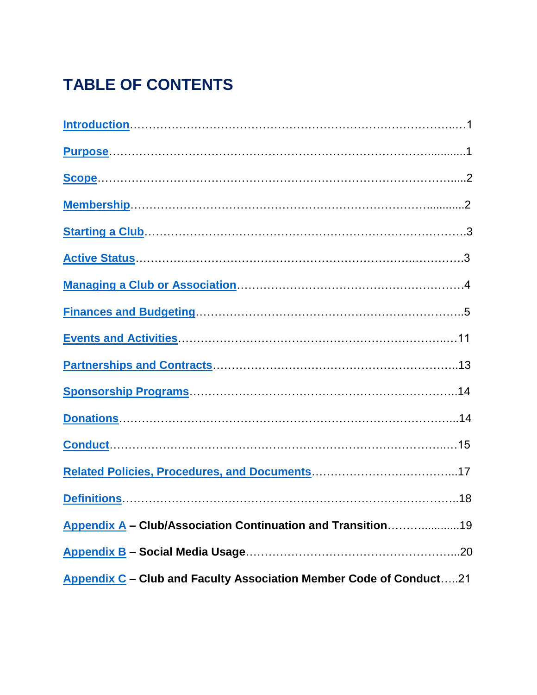# **TABLE OF CONTENTS**

| Appendix A - Club/Association Continuation and Transition19        |  |
|--------------------------------------------------------------------|--|
|                                                                    |  |
| Appendix C - Club and Faculty Association Member Code of Conduct21 |  |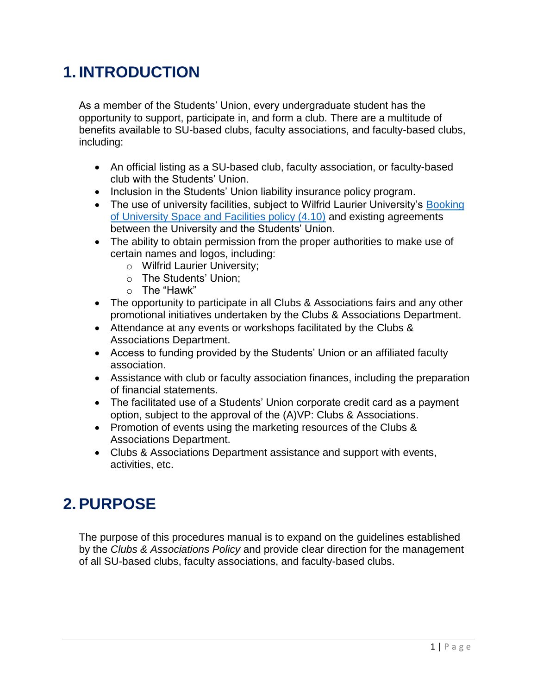# <span id="page-3-0"></span>**1. INTRODUCTION**

As a member of the Students' Union, every undergraduate student has the opportunity to support, participate in, and form a club. There are a multitude of benefits available to SU-based clubs, faculty associations, and faculty-based clubs, including:

- An official listing as a SU-based club, faculty association, or faculty-based club with the Students' Union.
- Inclusion in the Students' Union liability insurance policy program.
- The use of university facilities, subject to Wilfrid Laurier University's Booking [of University Space and Facilities policy \(4.10\)](https://wlu.ca/about/governance/assets/resources/4.10-booking-of-university-space-and-facilities.html) and existing agreements between the University and the Students' Union.
- The ability to obtain permission from the proper authorities to make use of certain names and logos, including:
	- o Wilfrid Laurier University;
	- o The Students' Union;
	- o The "Hawk"
- The opportunity to participate in all Clubs & Associations fairs and any other promotional initiatives undertaken by the Clubs & Associations Department.
- Attendance at any events or workshops facilitated by the Clubs & Associations Department.
- Access to funding provided by the Students' Union or an affiliated faculty association.
- Assistance with club or faculty association finances, including the preparation of financial statements.
- The facilitated use of a Students' Union corporate credit card as a payment option, subject to the approval of the (A)VP: Clubs & Associations.
- Promotion of events using the marketing resources of the Clubs & Associations Department.
- Clubs & Associations Department assistance and support with events, activities, etc.

## <span id="page-3-1"></span>**2. PURPOSE**

The purpose of this procedures manual is to expand on the guidelines established by the *Clubs & Associations Policy* and provide clear direction for the management of all SU-based clubs, faculty associations, and faculty-based clubs.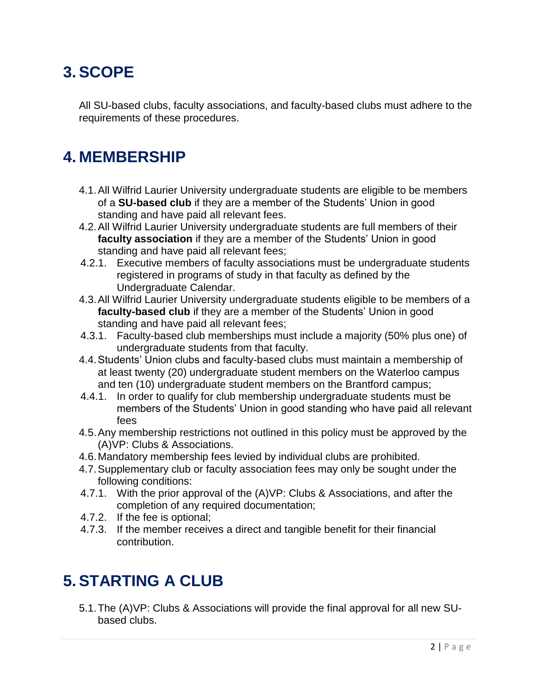# <span id="page-4-0"></span>**3. SCOPE**

All SU-based clubs, faculty associations, and faculty-based clubs must adhere to the requirements of these procedures.

## <span id="page-4-1"></span>**4. MEMBERSHIP**

- 4.1.All Wilfrid Laurier University undergraduate students are eligible to be members of a **SU-based club** if they are a member of the Students' Union in good standing and have paid all relevant fees.
- 4.2.All Wilfrid Laurier University undergraduate students are full members of their **faculty association** if they are a member of the Students' Union in good standing and have paid all relevant fees;
- 4.2.1. Executive members of faculty associations must be undergraduate students registered in programs of study in that faculty as defined by the Undergraduate Calendar.
- 4.3.All Wilfrid Laurier University undergraduate students eligible to be members of a **faculty-based club** if they are a member of the Students' Union in good standing and have paid all relevant fees;
- 4.3.1. Faculty-based club memberships must include a majority (50% plus one) of undergraduate students from that faculty.
- 4.4.Students' Union clubs and faculty-based clubs must maintain a membership of at least twenty (20) undergraduate student members on the Waterloo campus and ten (10) undergraduate student members on the Brantford campus;
- 4.4.1. In order to qualify for club membership undergraduate students must be members of the Students' Union in good standing who have paid all relevant fees
- 4.5.Any membership restrictions not outlined in this policy must be approved by the (A)VP: Clubs & Associations.
- 4.6.Mandatory membership fees levied by individual clubs are prohibited.
- 4.7.Supplementary club or faculty association fees may only be sought under the following conditions:
- 4.7.1. With the prior approval of the (A)VP: Clubs & Associations, and after the completion of any required documentation;
- 4.7.2. If the fee is optional;
- 4.7.3. If the member receives a direct and tangible benefit for their financial contribution.

# <span id="page-4-2"></span>**5. STARTING A CLUB**

5.1.The (A)VP: Clubs & Associations will provide the final approval for all new SUbased clubs.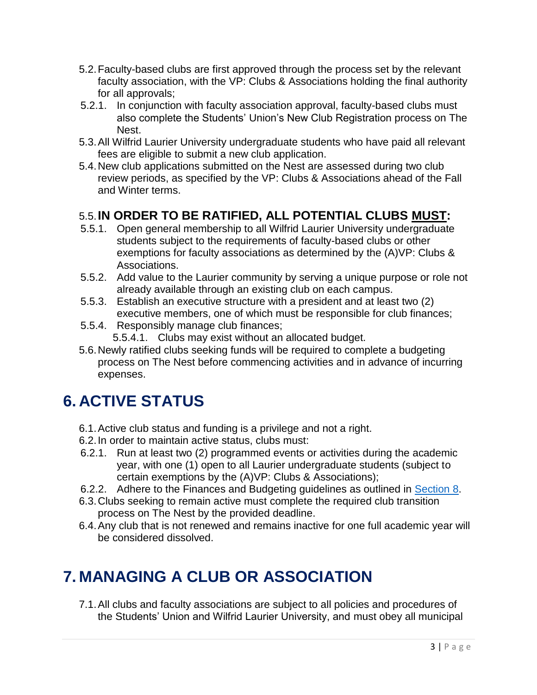- 5.2.Faculty-based clubs are first approved through the process set by the relevant faculty association, with the VP: Clubs & Associations holding the final authority for all approvals;
- 5.2.1. In conjunction with faculty association approval, faculty-based clubs must also complete the Students' Union's New Club Registration process on The Nest.
- 5.3.All Wilfrid Laurier University undergraduate students who have paid all relevant fees are eligible to submit a new club application.
- 5.4.New club applications submitted on the Nest are assessed during two club review periods, as specified by the VP: Clubs & Associations ahead of the Fall and Winter terms.

## 5.5.**IN ORDER TO BE RATIFIED, ALL POTENTIAL CLUBS MUST:**

- 5.5.1. Open general membership to all Wilfrid Laurier University undergraduate students subject to the requirements of faculty-based clubs or other exemptions for faculty associations as determined by the (A)VP: Clubs & Associations.
- 5.5.2. Add value to the Laurier community by serving a unique purpose or role not already available through an existing club on each campus.
- 5.5.3. Establish an executive structure with a president and at least two (2) executive members, one of which must be responsible for club finances;
- 5.5.4. Responsibly manage club finances;
	- 5.5.4.1. Clubs may exist without an allocated budget.
- 5.6.Newly ratified clubs seeking funds will be required to complete a budgeting process on The Nest before commencing activities and in advance of incurring expenses.

# **6. ACTIVE STATUS**

- 6.1.Active club status and funding is a privilege and not a right.
- 6.2.In order to maintain active status, clubs must:
- 6.2.1. Run at least two (2) programmed events or activities during the academic year, with one (1) open to all Laurier undergraduate students (subject to certain exemptions by the (A)VP: Clubs & Associations);
- 6.2.2. Adhere to the Finances and Budgeting guidelines as outlined in [Section 8.](#page-7-1)
- 6.3.Clubs seeking to remain active must complete the required club transition process on The Nest by the provided deadline.
- 6.4.Any club that is not renewed and remains inactive for one full academic year will be considered dissolved.

# <span id="page-5-0"></span>**7. MANAGING A CLUB OR ASSOCIATION**

7.1.All clubs and faculty associations are subject to all policies and procedures of the Students' Union and Wilfrid Laurier University, and must obey all municipal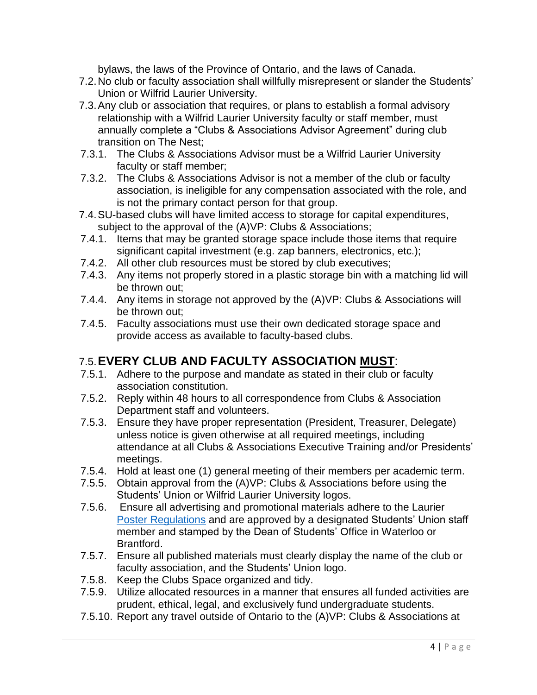bylaws, the laws of the Province of Ontario, and the laws of Canada.

- 7.2.No club or faculty association shall willfully misrepresent or slander the Students' Union or Wilfrid Laurier University.
- 7.3.Any club or association that requires, or plans to establish a formal advisory relationship with a Wilfrid Laurier University faculty or staff member, must annually complete a "Clubs & Associations Advisor Agreement" during club transition on The Nest;
- 7.3.1. The Clubs & Associations Advisor must be a Wilfrid Laurier University faculty or staff member;
- 7.3.2. The Clubs & Associations Advisor is not a member of the club or faculty association, is ineligible for any compensation associated with the role, and is not the primary contact person for that group.
- 7.4.SU-based clubs will have limited access to storage for capital expenditures, subject to the approval of the (A)VP: Clubs & Associations;
- 7.4.1. Items that may be granted storage space include those items that require significant capital investment (e.g. zap banners, electronics, etc.);
- 7.4.2. All other club resources must be stored by club executives;
- 7.4.3. Any items not properly stored in a plastic storage bin with a matching lid will be thrown out;
- 7.4.4. Any items in storage not approved by the (A)VP: Clubs & Associations will be thrown out;
- 7.4.5. Faculty associations must use their own dedicated storage space and provide access as available to faculty-based clubs.

## 7.5.**EVERY CLUB AND FACULTY ASSOCIATION MUST**:

- 7.5.1. Adhere to the purpose and mandate as stated in their club or faculty association constitution.
- 7.5.2. Reply within 48 hours to all correspondence from Clubs & Association Department staff and volunteers.
- 7.5.3. Ensure they have proper representation (President, Treasurer, Delegate) unless notice is given otherwise at all required meetings, including attendance at all Clubs & Associations Executive Training and/or Presidents' meetings.
- 7.5.4. Hold at least one (1) general meeting of their members per academic term.
- 7.5.5. Obtain approval from the (A)VP: Clubs & Associations before using the Students' Union or Wilfrid Laurier University logos.
- 7.5.6. Ensure all advertising and promotional materials adhere to the Laurier [Poster Regulations](https://students.wlu.ca/student-life/student-affairs/poster-regulations.html) and are approved by a designated Students' Union staff member and stamped by the Dean of Students' Office in Waterloo or Brantford.
- 7.5.7. Ensure all published materials must clearly display the name of the club or faculty association, and the Students' Union logo.
- 7.5.8. Keep the Clubs Space organized and tidy.
- 7.5.9. Utilize allocated resources in a manner that ensures all funded activities are prudent, ethical, legal, and exclusively fund undergraduate students.
- 7.5.10. Report any travel outside of Ontario to the (A)VP: Clubs & Associations at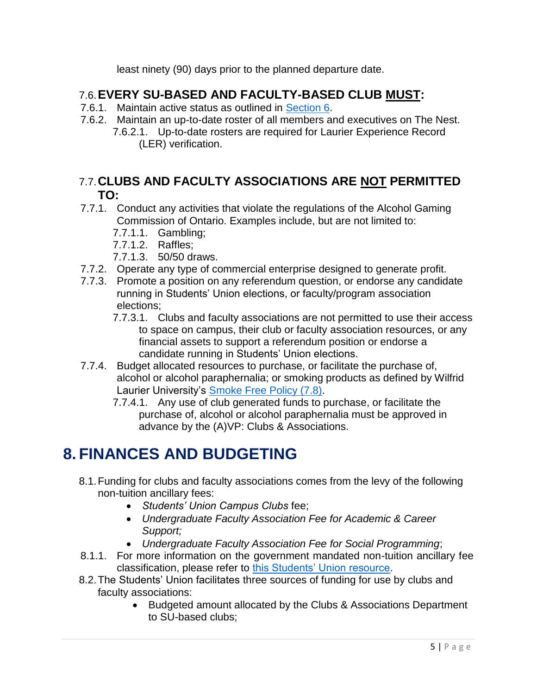<span id="page-7-0"></span>least ninety (90) days prior to the planned departure date.

## 7.6.**EVERY SU-BASED AND FACULTY-BASED CLUB MUST:**

- 7.6.1. Maintain active status as outlined in [Section 6.](#page-7-0)
- 7.6.2. Maintain an up-to-date roster of all members and executives on The Nest. 7.6.2.1. Up-to-date rosters are required for Laurier Experience Record (LER) verification.

#### 7.7.**CLUBS AND FACULTY ASSOCIATIONS ARE NOT PERMITTED TO:**

- 7.7.1. Conduct any activities that violate the regulations of the Alcohol Gaming Commission of Ontario. Examples include, but are not limited to:
	- 7.7.1.1. Gambling;
	- 7.7.1.2. Raffles;
	- 7.7.1.3. 50/50 draws.
- 7.7.2. Operate any type of commercial enterprise designed to generate profit.
- 7.7.3. Promote a position on any referendum question, or endorse any candidate running in Students' Union elections, or faculty/program association elections;
	- 7.7.3.1. Clubs and faculty associations are not permitted to use their access to space on campus, their club or faculty association resources, or any financial assets to support a referendum position or endorse a candidate running in Students' Union elections.
- 7.7.4. Budget allocated resources to purchase, or facilitate the purchase of, alcohol or alcohol paraphernalia; or smoking products as defined by Wilfrid Laurier University's [Smoke Free Policy \(7.8\).](https://www.wlu.ca/about/governance/assets/resources/7.8-smoke-free-policy.html)
	- 7.7.4.1. Any use of club generated funds to purchase, or facilitate the purchase of, alcohol or alcohol paraphernalia must be approved in advance by the (A)VP: Clubs & Associations.

# <span id="page-7-1"></span>**8. FINANCES AND BUDGETING**

- 8.1.Funding for clubs and faculty associations comes from the levy of the following non-tuition ancillary fees:
	- *Students' Union Campus Clubs* fee;
	- *Undergraduate Faculty Association Fee for Academic & Career Support;*
	- *Undergraduate Faculty Association Fee for Social Programming*;
- 8.1.1. For more information on the government mandated non-tuition ancillary fee classification, please refer to [this Students' Union resource.](https://yourstudentsunion.ca/student-fees/)
- 8.2.The Students' Union facilitates three sources of funding for use by clubs and faculty associations:
	- Budgeted amount allocated by the Clubs & Associations Department to SU-based clubs;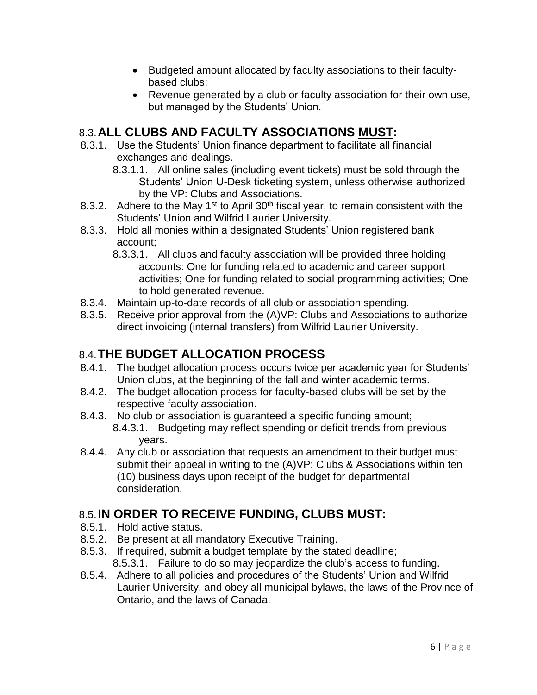- Budgeted amount allocated by faculty associations to their facultybased clubs;
- Revenue generated by a club or faculty association for their own use, but managed by the Students' Union.

## 8.3.**ALL CLUBS AND FACULTY ASSOCIATIONS MUST:**

- 8.3.1. Use the Students' Union finance department to facilitate all financial exchanges and dealings.
	- 8.3.1.1. All online sales (including event tickets) must be sold through the Students' Union U-Desk ticketing system, unless otherwise authorized by the VP: Clubs and Associations.
- 8.3.2. Adhere to the May 1<sup>st</sup> to April 30<sup>th</sup> fiscal year, to remain consistent with the Students' Union and Wilfrid Laurier University.
- 8.3.3. Hold all monies within a designated Students' Union registered bank account;
	- 8.3.3.1. All clubs and faculty association will be provided three holding accounts: One for funding related to academic and career support activities; One for funding related to social programming activities; One to hold generated revenue.
- 8.3.4. Maintain up-to-date records of all club or association spending.
- 8.3.5. Receive prior approval from the (A)VP: Clubs and Associations to authorize direct invoicing (internal transfers) from Wilfrid Laurier University.

#### 8.4.**THE BUDGET ALLOCATION PROCESS**

- 8.4.1. The budget allocation process occurs twice per academic year for Students' Union clubs, at the beginning of the fall and winter academic terms.
- 8.4.2. The budget allocation process for faculty-based clubs will be set by the respective faculty association.
- 8.4.3. No club or association is guaranteed a specific funding amount; 8.4.3.1. Budgeting may reflect spending or deficit trends from previous years.
- 8.4.4. Any club or association that requests an amendment to their budget must submit their appeal in writing to the (A)VP: Clubs & Associations within ten (10) business days upon receipt of the budget for departmental consideration.

## 8.5.**IN ORDER TO RECEIVE FUNDING, CLUBS MUST:**

- 8.5.1. Hold active status.
- 8.5.2. Be present at all mandatory Executive Training.
- 8.5.3. If required, submit a budget template by the stated deadline; 8.5.3.1. Failure to do so may jeopardize the club's access to funding.
- 8.5.4. Adhere to all policies and procedures of the Students' Union and Wilfrid Laurier University, and obey all municipal bylaws, the laws of the Province of Ontario, and the laws of Canada.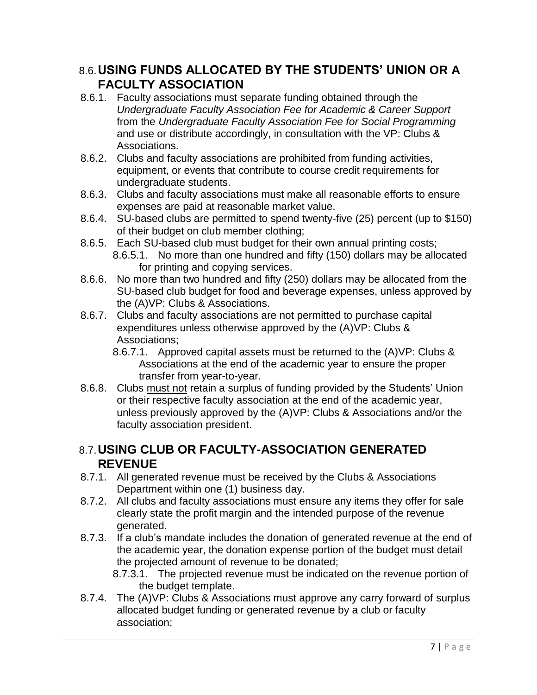#### 8.6.**USING FUNDS ALLOCATED BY THE STUDENTS' UNION OR A FACULTY ASSOCIATION**

- 8.6.1. Faculty associations must separate funding obtained through the *Undergraduate Faculty Association Fee for Academic & Career Support* from the *Undergraduate Faculty Association Fee for Social Programming* and use or distribute accordingly, in consultation with the VP: Clubs & Associations.
- 8.6.2. Clubs and faculty associations are prohibited from funding activities, equipment, or events that contribute to course credit requirements for undergraduate students.
- 8.6.3. Clubs and faculty associations must make all reasonable efforts to ensure expenses are paid at reasonable market value.
- 8.6.4. SU-based clubs are permitted to spend twenty-five (25) percent (up to \$150) of their budget on club member clothing;
- 8.6.5. Each SU-based club must budget for their own annual printing costs; 8.6.5.1. No more than one hundred and fifty (150) dollars may be allocated for printing and copying services.
- 8.6.6. No more than two hundred and fifty (250) dollars may be allocated from the SU-based club budget for food and beverage expenses, unless approved by the (A)VP: Clubs & Associations.
- 8.6.7. Clubs and faculty associations are not permitted to purchase capital expenditures unless otherwise approved by the (A)VP: Clubs & Associations;
	- 8.6.7.1. Approved capital assets must be returned to the (A)VP: Clubs & Associations at the end of the academic year to ensure the proper transfer from year-to-year.
- 8.6.8. Clubs must not retain a surplus of funding provided by the Students' Union or their respective faculty association at the end of the academic year, unless previously approved by the (A)VP: Clubs & Associations and/or the faculty association president.

#### 8.7.**USING CLUB OR FACULTY-ASSOCIATION GENERATED REVENUE**

- 8.7.1. All generated revenue must be received by the Clubs & Associations Department within one (1) business day.
- 8.7.2. All clubs and faculty associations must ensure any items they offer for sale clearly state the profit margin and the intended purpose of the revenue generated.
- 8.7.3. If a club's mandate includes the donation of generated revenue at the end of the academic year, the donation expense portion of the budget must detail the projected amount of revenue to be donated;
	- 8.7.3.1. The projected revenue must be indicated on the revenue portion of the budget template.
- 8.7.4. The (A)VP: Clubs & Associations must approve any carry forward of surplus allocated budget funding or generated revenue by a club or faculty association;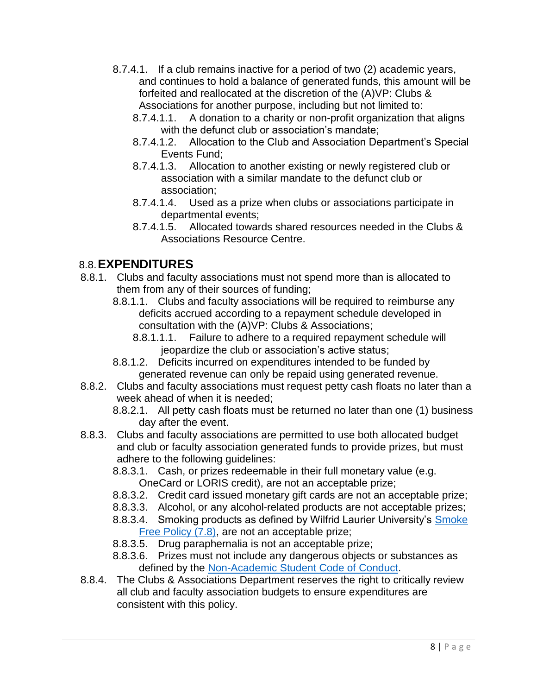- 8.7.4.1. If a club remains inactive for a period of two (2) academic years, and continues to hold a balance of generated funds, this amount will be forfeited and reallocated at the discretion of the (A)VP: Clubs & Associations for another purpose, including but not limited to:
	- 8.7.4.1.1. A donation to a charity or non-profit organization that aligns with the defunct club or association's mandate;
	- 8.7.4.1.2. Allocation to the Club and Association Department's Special Events Fund;
	- 8.7.4.1.3. Allocation to another existing or newly registered club or association with a similar mandate to the defunct club or association;
	- 8.7.4.1.4. Used as a prize when clubs or associations participate in departmental events;
	- 8.7.4.1.5. Allocated towards shared resources needed in the Clubs & Associations Resource Centre.

## 8.8.**EXPENDITURES**

- 8.8.1. Clubs and faculty associations must not spend more than is allocated to them from any of their sources of funding;
	- 8.8.1.1. Clubs and faculty associations will be required to reimburse any deficits accrued according to a repayment schedule developed in consultation with the (A)VP: Clubs & Associations;
		- 8.8.1.1.1. Failure to adhere to a required repayment schedule will jeopardize the club or association's active status;
	- 8.8.1.2. Deficits incurred on expenditures intended to be funded by generated revenue can only be repaid using generated revenue.
- 8.8.2. Clubs and faculty associations must request petty cash floats no later than a week ahead of when it is needed;
	- 8.8.2.1. All petty cash floats must be returned no later than one (1) business day after the event.
- 8.8.3. Clubs and faculty associations are permitted to use both allocated budget and club or faculty association generated funds to provide prizes, but must adhere to the following guidelines:
	- 8.8.3.1. Cash, or prizes redeemable in their full monetary value (e.g. OneCard or LORIS credit), are not an acceptable prize;
	- 8.8.3.2. Credit card issued monetary gift cards are not an acceptable prize;
	- 8.8.3.3. Alcohol, or any alcohol-related products are not acceptable prizes;
	- 8.8.3.4. Smoking products as defined by Wilfrid Laurier University's Smoke [Free Policy \(7.8\),](https://www.wlu.ca/about/governance/assets/resources/7.8-smoke-free-policy.html) are not an acceptable prize;
	- 8.8.3.5. Drug paraphernalia is not an acceptable prize;
	- 8.8.3.6. Prizes must not include any dangerous objects or substances as defined by the [Non-Academic Student Code of Conduct.](https://www.wlu.ca/about/governance/assets/resources/12.3-non-academic-student-code-of-conduct.html)
- 8.8.4. The Clubs & Associations Department reserves the right to critically review all club and faculty association budgets to ensure expenditures are consistent with this policy.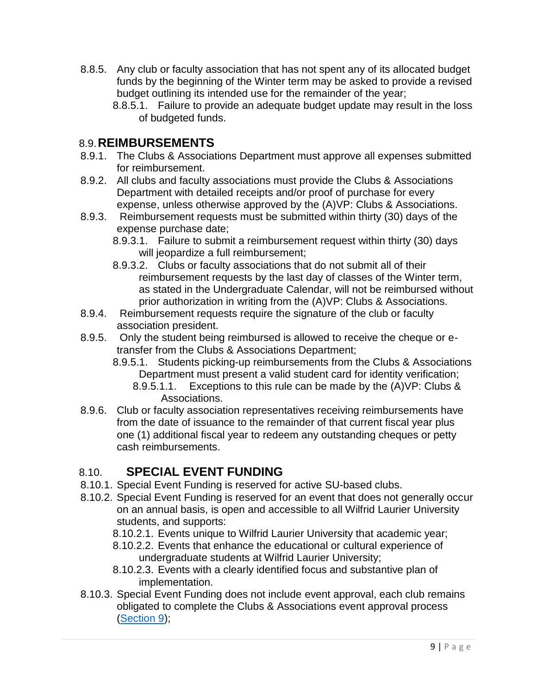- 8.8.5. Any club or faculty association that has not spent any of its allocated budget funds by the beginning of the Winter term may be asked to provide a revised budget outlining its intended use for the remainder of the year;
	- 8.8.5.1. Failure to provide an adequate budget update may result in the loss of budgeted funds.

#### 8.9.**REIMBURSEMENTS**

- 8.9.1. The Clubs & Associations Department must approve all expenses submitted for reimbursement.
- 8.9.2. All clubs and faculty associations must provide the Clubs & Associations Department with detailed receipts and/or proof of purchase for every expense, unless otherwise approved by the (A)VP: Clubs & Associations.
- 8.9.3. Reimbursement requests must be submitted within thirty (30) days of the expense purchase date;
	- 8.9.3.1. Failure to submit a reimbursement request within thirty (30) days will jeopardize a full reimbursement;
	- 8.9.3.2. Clubs or faculty associations that do not submit all of their reimbursement requests by the last day of classes of the Winter term, as stated in the Undergraduate Calendar, will not be reimbursed without prior authorization in writing from the (A)VP: Clubs & Associations.
- 8.9.4. Reimbursement requests require the signature of the club or faculty association president.
- 8.9.5. Only the student being reimbursed is allowed to receive the cheque or etransfer from the Clubs & Associations Department;
	- 8.9.5.1. Students picking-up reimbursements from the Clubs & Associations Department must present a valid student card for identity verification;
		- 8.9.5.1.1. Exceptions to this rule can be made by the (A)VP: Clubs & Associations.
- 8.9.6. Club or faculty association representatives receiving reimbursements have from the date of issuance to the remainder of that current fiscal year plus one (1) additional fiscal year to redeem any outstanding cheques or petty cash reimbursements.

#### 8.10. **SPECIAL EVENT FUNDING**

- 8.10.1. Special Event Funding is reserved for active SU-based clubs.
- 8.10.2. Special Event Funding is reserved for an event that does not generally occur on an annual basis, is open and accessible to all Wilfrid Laurier University students, and supports:
	- 8.10.2.1. Events unique to Wilfrid Laurier University that academic year;
	- 8.10.2.2. Events that enhance the educational or cultural experience of undergraduate students at Wilfrid Laurier University;
	- 8.10.2.3. Events with a clearly identified focus and substantive plan of implementation.
- 8.10.3. Special Event Funding does not include event approval, each club remains obligated to complete the Clubs & Associations event approval process [\(Section 9\)](#page-13-0);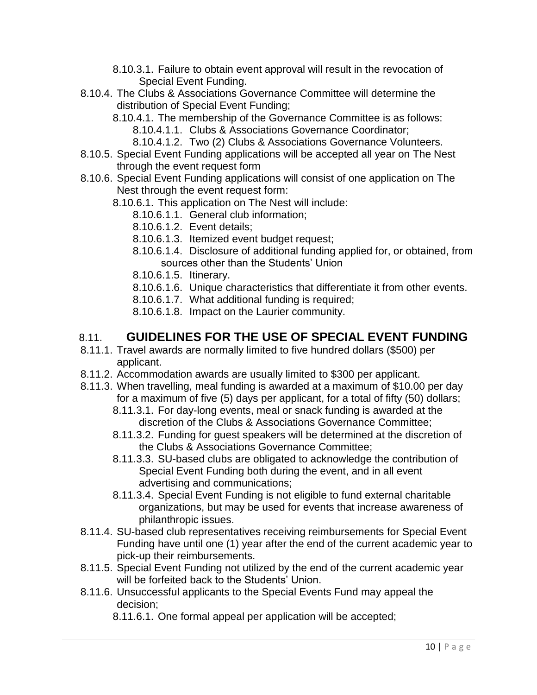- 8.10.3.1. Failure to obtain event approval will result in the revocation of Special Event Funding.
- 8.10.4. The Clubs & Associations Governance Committee will determine the distribution of Special Event Funding;
	- 8.10.4.1. The membership of the Governance Committee is as follows: 8.10.4.1.1. Clubs & Associations Governance Coordinator;
		- 8.10.4.1.2. Two (2) Clubs & Associations Governance Volunteers.
- 8.10.5. Special Event Funding applications will be accepted all year on The Nest through the event request form
- 8.10.6. Special Event Funding applications will consist of one application on The Nest through the event request form:
	- 8.10.6.1. This application on The Nest will include:
		- 8.10.6.1.1. General club information;
		- 8.10.6.1.2. Event details;
		- 8.10.6.1.3. Itemized event budget request;
		- 8.10.6.1.4. Disclosure of additional funding applied for, or obtained, from sources other than the Students' Union
		- 8.10.6.1.5. Itinerary.
		- 8.10.6.1.6. Unique characteristics that differentiate it from other events.
		- 8.10.6.1.7. What additional funding is required;
		- 8.10.6.1.8. Impact on the Laurier community.

#### 8.11. **GUIDELINES FOR THE USE OF SPECIAL EVENT FUNDING**

- 8.11.1. Travel awards are normally limited to five hundred dollars (\$500) per applicant.
- 8.11.2. Accommodation awards are usually limited to \$300 per applicant.
- 8.11.3. When travelling, meal funding is awarded at a maximum of \$10.00 per day for a maximum of five (5) days per applicant, for a total of fifty (50) dollars;
	- 8.11.3.1. For day-long events, meal or snack funding is awarded at the discretion of the Clubs & Associations Governance Committee;
	- 8.11.3.2. Funding for guest speakers will be determined at the discretion of the Clubs & Associations Governance Committee;
	- 8.11.3.3. SU-based clubs are obligated to acknowledge the contribution of Special Event Funding both during the event, and in all event advertising and communications;
	- 8.11.3.4. Special Event Funding is not eligible to fund external charitable organizations, but may be used for events that increase awareness of philanthropic issues.
- 8.11.4. SU-based club representatives receiving reimbursements for Special Event Funding have until one (1) year after the end of the current academic year to pick-up their reimbursements.
- 8.11.5. Special Event Funding not utilized by the end of the current academic year will be forfeited back to the Students' Union.
- 8.11.6. Unsuccessful applicants to the Special Events Fund may appeal the decision;
	- 8.11.6.1. One formal appeal per application will be accepted;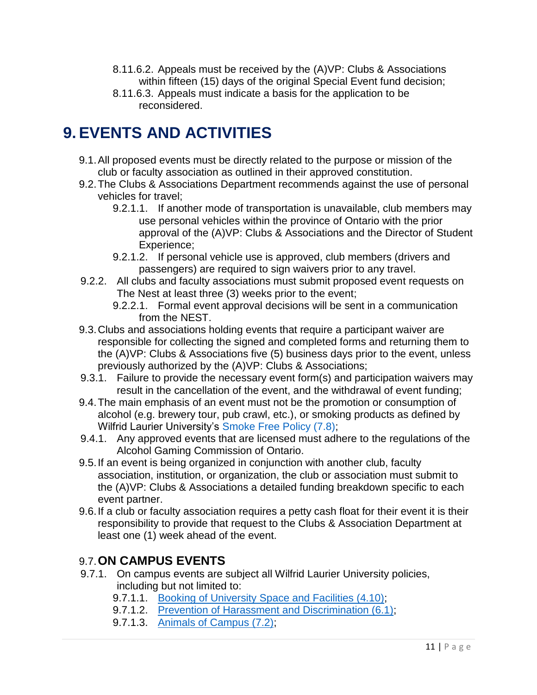- 8.11.6.2. Appeals must be received by the (A)VP: Clubs & Associations within fifteen (15) days of the original Special Event fund decision;
- 8.11.6.3. Appeals must indicate a basis for the application to be reconsidered.

## <span id="page-13-0"></span>**9. EVENTS AND ACTIVITIES**

- 9.1.All proposed events must be directly related to the purpose or mission of the club or faculty association as outlined in their approved constitution.
- 9.2.The Clubs & Associations Department recommends against the use of personal vehicles for travel;
	- 9.2.1.1. If another mode of transportation is unavailable, club members may use personal vehicles within the province of Ontario with the prior approval of the (A)VP: Clubs & Associations and the Director of Student Experience;
	- 9.2.1.2. If personal vehicle use is approved, club members (drivers and passengers) are required to sign waivers prior to any travel.
- 9.2.2. All clubs and faculty associations must submit proposed event requests on The Nest at least three (3) weeks prior to the event;
	- 9.2.2.1. Formal event approval decisions will be sent in a communication from the NEST.
- 9.3.Clubs and associations holding events that require a participant waiver are responsible for collecting the signed and completed forms and returning them to the (A)VP: Clubs & Associations five (5) business days prior to the event, unless previously authorized by the (A)VP: Clubs & Associations;
- 9.3.1. Failure to provide the necessary event form(s) and participation waivers may result in the cancellation of the event, and the withdrawal of event funding;
- 9.4.The main emphasis of an event must not be the promotion or consumption of alcohol (e.g. brewery tour, pub crawl, etc.), or smoking products as defined by Wilfrid Laurier University's [Smoke Free Policy \(7.8\);](https://www.wlu.ca/about/governance/assets/resources/7.8-smoke-free-policy.html)
- 9.4.1. Any approved events that are licensed must adhere to the regulations of the Alcohol Gaming Commission of Ontario.
- 9.5.If an event is being organized in conjunction with another club, faculty association, institution, or organization, the club or association must submit to the (A)VP: Clubs & Associations a detailed funding breakdown specific to each event partner.
- 9.6.If a club or faculty association requires a petty cash float for their event it is their responsibility to provide that request to the Clubs & Association Department at least one (1) week ahead of the event.

## 9.7.**ON CAMPUS EVENTS**

- 9.7.1. On campus events are subject all Wilfrid Laurier University policies, including but not limited to:
	- 9.7.1.1. [Booking of University Space and Facilities \(4.10\);](https://wlu.ca/about/governance/assets/resources/4.10-booking-of-university-space-and-facilities.html)
	- 9.7.1.2. [Prevention of Harassment and Discrimination \(6.1\);](https://wlu.ca/about/governance/assets/resources/6.1-prevention-of-harassment-and-discrimination.html)
	- 9.7.1.3. [Animals of Campus \(7.2\);](https://www.wlu.ca/about/governance/assets/resources/7.2-animals-on-campus.html)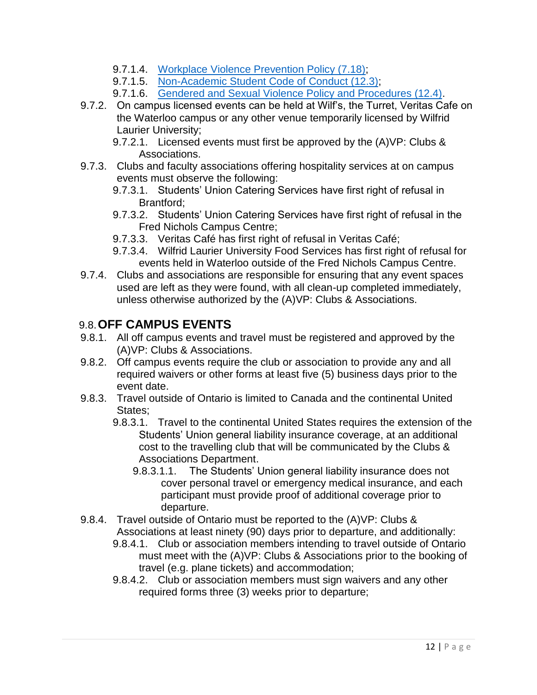- 9.7.1.4. [Workplace Violence Prevention Policy \(7.18\);](https://wlu.ca/about/governance/assets/resources/7.18-workplace-violence-prevention-policy.html)
- 9.7.1.5. [Non-Academic Student Code of Conduct \(12.3\);](https://www.wlu.ca/about/governance/assets/resources/12.3-non-academic-student-code-of-conduct.html)
- 9.7.1.6. [Gendered and Sexual Violence Policy and Procedures \(12.4\).](https://wlu.ca/about/governance/assets/resources/12.4-gendered-and-sexual-violence-policy-and-procedures.html)
- 9.7.2. On campus licensed events can be held at Wilf's, the Turret, Veritas Cafe on the Waterloo campus or any other venue temporarily licensed by Wilfrid Laurier University;
	- 9.7.2.1. Licensed events must first be approved by the (A)VP: Clubs & Associations.
- 9.7.3. Clubs and faculty associations offering hospitality services at on campus events must observe the following:

9.7.3.1. Students' Union Catering Services have first right of refusal in Brantford;

- 9.7.3.2. Students' Union Catering Services have first right of refusal in the Fred Nichols Campus Centre;
- 9.7.3.3. Veritas Café has first right of refusal in Veritas Café;
- 9.7.3.4. Wilfrid Laurier University Food Services has first right of refusal for events held in Waterloo outside of the Fred Nichols Campus Centre.
- 9.7.4. Clubs and associations are responsible for ensuring that any event spaces used are left as they were found, with all clean-up completed immediately, unless otherwise authorized by the (A)VP: Clubs & Associations.

## 9.8.**OFF CAMPUS EVENTS**

- 9.8.1. All off campus events and travel must be registered and approved by the (A)VP: Clubs & Associations.
- 9.8.2. Off campus events require the club or association to provide any and all required waivers or other forms at least five (5) business days prior to the event date.
- 9.8.3. Travel outside of Ontario is limited to Canada and the continental United States;
	- 9.8.3.1. Travel to the continental United States requires the extension of the Students' Union general liability insurance coverage, at an additional cost to the travelling club that will be communicated by the Clubs & Associations Department.
		- 9.8.3.1.1. The Students' Union general liability insurance does not cover personal travel or emergency medical insurance, and each participant must provide proof of additional coverage prior to departure.
- 9.8.4. Travel outside of Ontario must be reported to the (A)VP: Clubs & Associations at least ninety (90) days prior to departure, and additionally:
	- 9.8.4.1. Club or association members intending to travel outside of Ontario must meet with the (A)VP: Clubs & Associations prior to the booking of travel (e.g. plane tickets) and accommodation;
	- 9.8.4.2. Club or association members must sign waivers and any other required forms three (3) weeks prior to departure;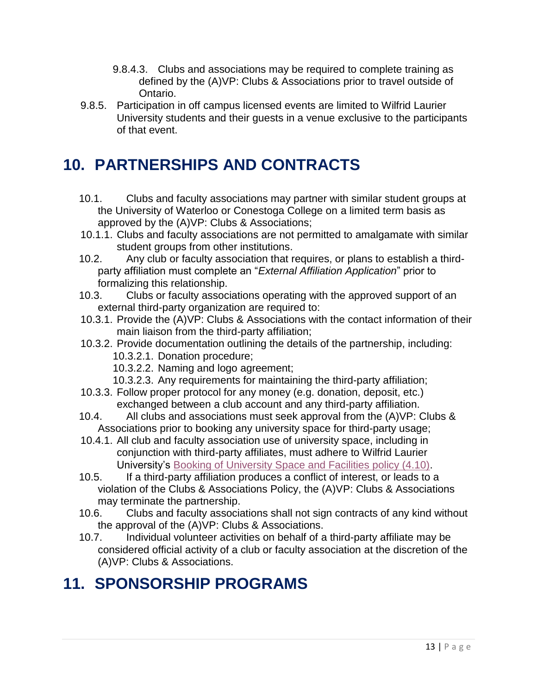- 9.8.4.3. Clubs and associations may be required to complete training as defined by the (A)VP: Clubs & Associations prior to travel outside of Ontario.
- 9.8.5. Participation in off campus licensed events are limited to Wilfrid Laurier University students and their guests in a venue exclusive to the participants of that event.

## <span id="page-15-0"></span>**10. PARTNERSHIPS AND CONTRACTS**

- 10.1. Clubs and faculty associations may partner with similar student groups at the University of Waterloo or Conestoga College on a limited term basis as approved by the (A)VP: Clubs & Associations;
- 10.1.1. Clubs and faculty associations are not permitted to amalgamate with similar student groups from other institutions.
- 10.2. Any club or faculty association that requires, or plans to establish a thirdparty affiliation must complete an "*External Affiliation Application*" prior to formalizing this relationship.
- 10.3. Clubs or faculty associations operating with the approved support of an external third-party organization are required to:
- 10.3.1. Provide the (A)VP: Clubs & Associations with the contact information of their main liaison from the third-party affiliation;
- 10.3.2. Provide documentation outlining the details of the partnership, including: 10.3.2.1. Donation procedure;
	- 10.3.2.2. Naming and logo agreement;
	- 10.3.2.3. Any requirements for maintaining the third-party affiliation;
- 10.3.3. Follow proper protocol for any money (e.g. donation, deposit, etc.) exchanged between a club account and any third-party affiliation.
- 10.4. All clubs and associations must seek approval from the (A)VP: Clubs & Associations prior to booking any university space for third-party usage;
- 10.4.1. All club and faculty association use of university space, including in conjunction with third-party affiliates, must adhere to Wilfrid Laurier University's [Booking of University Space and Facilities policy \(4.10\).](https://wlu.ca/about/governance/assets/resources/4.10-booking-of-university-space-and-facilities.html)
- 10.5. If a third-party affiliation produces a conflict of interest, or leads to a violation of the Clubs & Associations Policy, the (A)VP: Clubs & Associations may terminate the partnership.
- 10.6. Clubs and faculty associations shall not sign contracts of any kind without the approval of the (A)VP: Clubs & Associations.
- 10.7. Individual volunteer activities on behalf of a third-party affiliate may be considered official activity of a club or faculty association at the discretion of the (A)VP: Clubs & Associations.

# <span id="page-15-1"></span>**11. SPONSORSHIP PROGRAMS**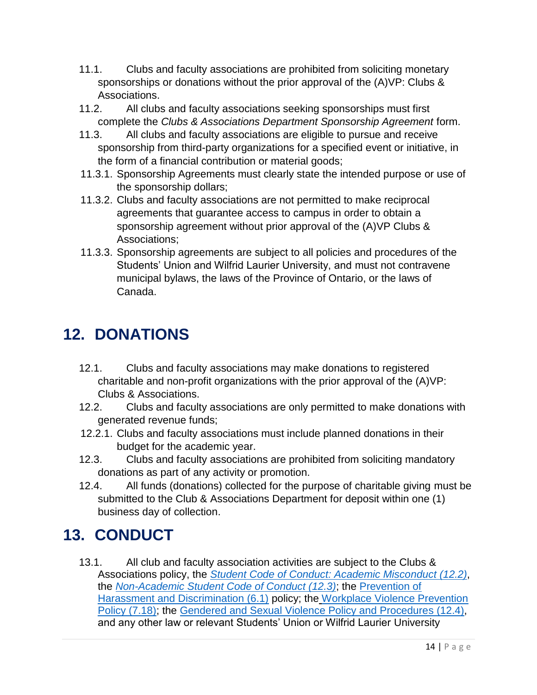- 11.1. Clubs and faculty associations are prohibited from soliciting monetary sponsorships or donations without the prior approval of the (A)VP: Clubs & Associations.
- 11.2. All clubs and faculty associations seeking sponsorships must first complete the *Clubs & Associations Department Sponsorship Agreement* form.
- 11.3. All clubs and faculty associations are eligible to pursue and receive sponsorship from third-party organizations for a specified event or initiative, in the form of a financial contribution or material goods;
- 11.3.1. Sponsorship Agreements must clearly state the intended purpose or use of the sponsorship dollars;
- 11.3.2. Clubs and faculty associations are not permitted to make reciprocal agreements that guarantee access to campus in order to obtain a sponsorship agreement without prior approval of the (A)VP Clubs & Associations;
- 11.3.3. Sponsorship agreements are subject to all policies and procedures of the Students' Union and Wilfrid Laurier University, and must not contravene municipal bylaws, the laws of the Province of Ontario, or the laws of Canada.

# <span id="page-16-0"></span>**12. DONATIONS**

- 12.1. Clubs and faculty associations may make donations to registered charitable and non-profit organizations with the prior approval of the (A)VP: Clubs & Associations.
- 12.2. Clubs and faculty associations are only permitted to make donations with generated revenue funds;
- 12.2.1. Clubs and faculty associations must include planned donations in their budget for the academic year.
- 12.3. Clubs and faculty associations are prohibited from soliciting mandatory donations as part of any activity or promotion.
- 12.4. All funds (donations) collected for the purpose of charitable giving must be submitted to the Club & Associations Department for deposit within one (1) business day of collection.

# <span id="page-16-1"></span>**13. CONDUCT**

13.1. All club and faculty association activities are subject to the Clubs & Associations policy, the *[Student Code of Conduct: Academic Misconduct](https://www.wlu.ca/about/governance/assets/resources/12.2-student-code-of-conduct-and-discipline.html) (12.2)*, the *Non-Academic Student [Code of Conduct](https://www.wlu.ca/about/governance/assets/resources/12.3-non-academic-student-code-of-conduct.html) (12.3)*; the [Prevention of](https://wlu.ca/about/governance/assets/resources/6.1-prevention-of-harassment-and-discrimination.html)  [Harassment and Discrimination \(6.1\)](https://wlu.ca/about/governance/assets/resources/6.1-prevention-of-harassment-and-discrimination.html) policy; the [Workplace Violence Prevention](https://wlu.ca/about/governance/assets/resources/7.18-workplace-violence-prevention-policy.html)  [Policy \(7.18\);](https://wlu.ca/about/governance/assets/resources/7.18-workplace-violence-prevention-policy.html) the [Gendered and Sexual Violence Policy and Procedures \(12.4\),](https://wlu.ca/about/governance/assets/resources/12.4-gendered-and-sexual-violence-policy-and-procedures.html) and any other law or relevant Students' Union or Wilfrid Laurier University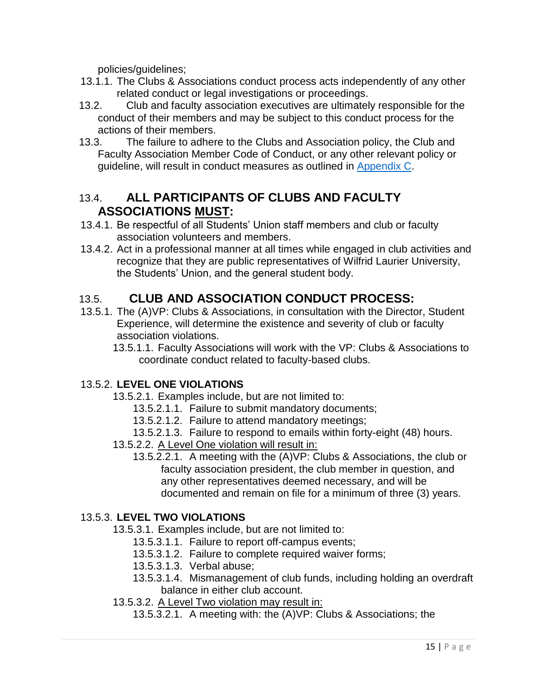policies/guidelines;

- 13.1.1. The Clubs & Associations conduct process acts independently of any other related conduct or legal investigations or proceedings.
- 13.2. Club and faculty association executives are ultimately responsible for the conduct of their members and may be subject to this conduct process for the actions of their members.
- 13.3. The failure to adhere to the Clubs and Association policy, the Club and Faculty Association Member Code of Conduct, or any other relevant policy or guideline, will result in conduct measures as outlined in [Appendix C.](#page-23-0)

#### 13.4. **ALL PARTICIPANTS OF CLUBS AND FACULTY ASSOCIATIONS MUST:**

- 13.4.1. Be respectful of all Students' Union staff members and club or faculty association volunteers and members.
- 13.4.2. Act in a professional manner at all times while engaged in club activities and recognize that they are public representatives of Wilfrid Laurier University, the Students' Union, and the general student body.

## 13.5. **CLUB AND ASSOCIATION CONDUCT PROCESS:**

- 13.5.1. The (A)VP: Clubs & Associations, in consultation with the Director, Student Experience, will determine the existence and severity of club or faculty association violations.
	- 13.5.1.1. Faculty Associations will work with the VP: Clubs & Associations to coordinate conduct related to faculty-based clubs.

#### 13.5.2. **LEVEL ONE VIOLATIONS**

- 13.5.2.1. Examples include, but are not limited to:
	- 13.5.2.1.1. Failure to submit mandatory documents;
	- 13.5.2.1.2. Failure to attend mandatory meetings;
- 13.5.2.1.3. Failure to respond to emails within forty-eight (48) hours.
- 13.5.2.2. A Level One violation will result in:
	- 13.5.2.2.1. A meeting with the (A)VP: Clubs & Associations, the club or faculty association president, the club member in question, and any other representatives deemed necessary, and will be documented and remain on file for a minimum of three (3) years.

#### 13.5.3. **LEVEL TWO VIOLATIONS**

- 13.5.3.1. Examples include, but are not limited to:
	- 13.5.3.1.1. Failure to report off-campus events;
	- 13.5.3.1.2. Failure to complete required waiver forms;
	- 13.5.3.1.3. Verbal abuse;
	- 13.5.3.1.4. Mismanagement of club funds, including holding an overdraft balance in either club account.
- 13.5.3.2. A Level Two violation may result in:
	- 13.5.3.2.1. A meeting with: the (A)VP: Clubs & Associations; the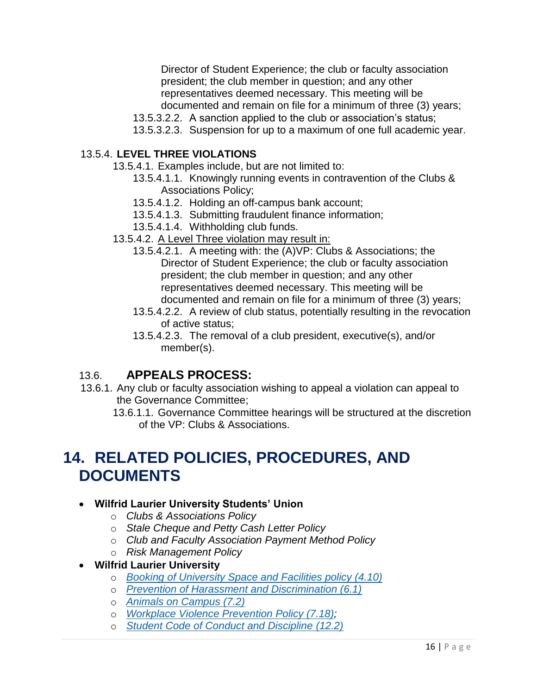Director of Student Experience; the club or faculty association president; the club member in question; and any other representatives deemed necessary. This meeting will be documented and remain on file for a minimum of three (3) years;

- 13.5.3.2.2. A sanction applied to the club or association's status;
- 13.5.3.2.3. Suspension for up to a maximum of one full academic year.

#### 13.5.4. **LEVEL THREE VIOLATIONS**

- 13.5.4.1. Examples include, but are not limited to:
	- 13.5.4.1.1. Knowingly running events in contravention of the Clubs & Associations Policy;
	- 13.5.4.1.2. Holding an off-campus bank account;
	- 13.5.4.1.3. Submitting fraudulent finance information;
	- 13.5.4.1.4. Withholding club funds.
- 13.5.4.2. A Level Three violation may result in:
	- 13.5.4.2.1. A meeting with: the (A)VP: Clubs & Associations; the Director of Student Experience; the club or faculty association president; the club member in question; and any other representatives deemed necessary. This meeting will be documented and remain on file for a minimum of three (3) years;
	- 13.5.4.2.2. A review of club status, potentially resulting in the revocation of active status;
	- 13.5.4.2.3. The removal of a club president, executive(s), and/or member(s).

#### 13.6. **APPEALS PROCESS:**

- 13.6.1. Any club or faculty association wishing to appeal a violation can appeal to the Governance Committee;
	- 13.6.1.1. Governance Committee hearings will be structured at the discretion of the VP: Clubs & Associations.

## <span id="page-18-0"></span>**14. RELATED POLICIES, PROCEDURES, AND DOCUMENTS**

#### **Wilfrid Laurier University Students' Union**

- o *Clubs & Associations Policy*
- o *Stale Cheque and Petty Cash Letter Policy*
- o *Club and Faculty Association Payment Method Policy*
- o *Risk Management Policy*

#### **Wilfrid Laurier University**

- o *[Booking of University Space and Facilities policy \(4.10\)](https://wlu.ca/about/governance/assets/resources/4.10-booking-of-university-space-and-facilities.html)*
- o *[Prevention of Harassment and Discrimination \(6.1\)](https://wlu.ca/about/governance/assets/resources/6.1-prevention-of-harassment-and-discrimination.html)*
- o *[Animals on Campus \(7.2\)](https://www.wlu.ca/about/governance/assets/resources/7.2-animals-on-campus.html)*
- o *[Workplace Violence Prevention Policy \(7.18\);](https://wlu.ca/about/governance/assets/resources/7.18-workplace-violence-prevention-policy.html)*
- o *[Student Code of Conduct and Discipline](https://www.wlu.ca/about/governance/assets/resources/12.2-student-code-of-conduct-and-discipline.html) (12.2)*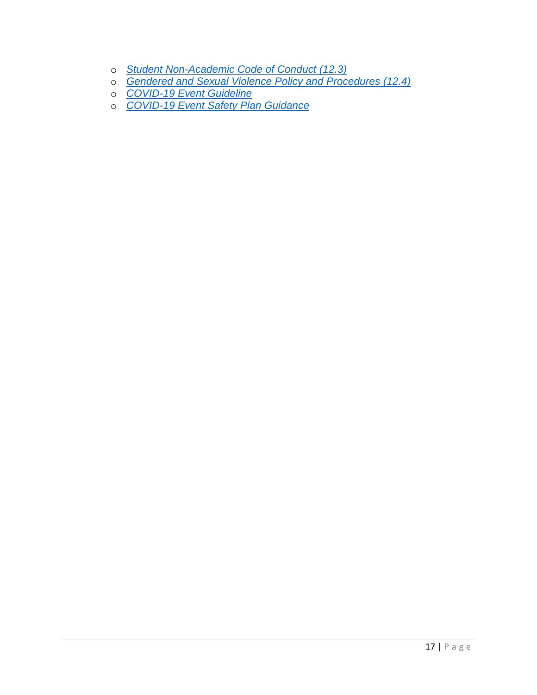- o *[Student Non-Academic Code of Conduct](https://www.wlu.ca/about/governance/assets/resources/12.3-non-academic-student-code-of-conduct.html) (12.3)*
- o *[Gendered and Sexual Violence Policy and Procedures \(12.4\)](https://wlu.ca/about/governance/assets/resources/12.4-gendered-and-sexual-violence-policy-and-procedures.html)*
- o *[COVID-19 Event Guideline](https://lauriercloud.sharepoint.com/sites/safety-health-environment-and-risk-management/Documents/Forms/AllItems.aspx?sortField=Modified&isAscending=false&id=/sites/safety-health-environment-and-risk-management/Documents/COVID-19%20Event%20Guideline.pdf&parent=/sites/safety-health-environment-and-risk-management/Documents)*
- o *[COVID-19 Event Safety Plan Guidance](https://lauriercloud.sharepoint.com/:w:/r/sites/safety-health-environment-and-risk-management/_layouts/15/Doc.aspx?sourcedoc=%7BCA551297-BA49-4032-9457-051E07FFDCEF%7D&file=COVID-19%20Event%20Safety%20Guidance.docx&action=default&mobileredirect=true&cid=2a7387e7-e7e5-420e-ace8-a2e623e1f372)*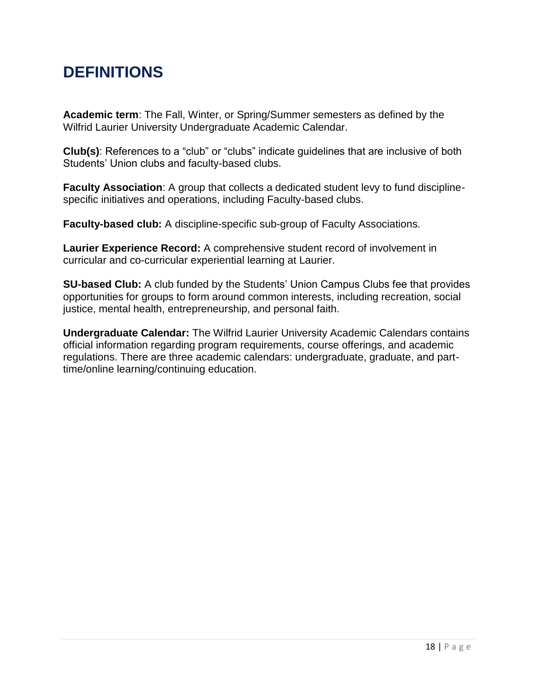## <span id="page-20-0"></span>**DEFINITIONS**

**Academic term**: The Fall, Winter, or Spring/Summer semesters as defined by the Wilfrid Laurier University Undergraduate Academic Calendar.

**Club(s)**: References to a "club" or "clubs" indicate guidelines that are inclusive of both Students' Union clubs and faculty-based clubs.

**Faculty Association**: A group that collects a dedicated student levy to fund disciplinespecific initiatives and operations, including Faculty-based clubs.

**Faculty-based club:** A discipline-specific sub-group of Faculty Associations.

**Laurier Experience Record:** A comprehensive student record of involvement in curricular and co-curricular experiential learning at Laurier.

**SU-based Club:** A club funded by the Students' Union Campus Clubs fee that provides opportunities for groups to form around common interests, including recreation, social justice, mental health, entrepreneurship, and personal faith.

**Undergraduate Calendar:** The Wilfrid Laurier University Academic Calendars contains official information regarding program requirements, course offerings, and academic regulations. There are three academic calendars: undergraduate, graduate, and parttime/online learning/continuing education.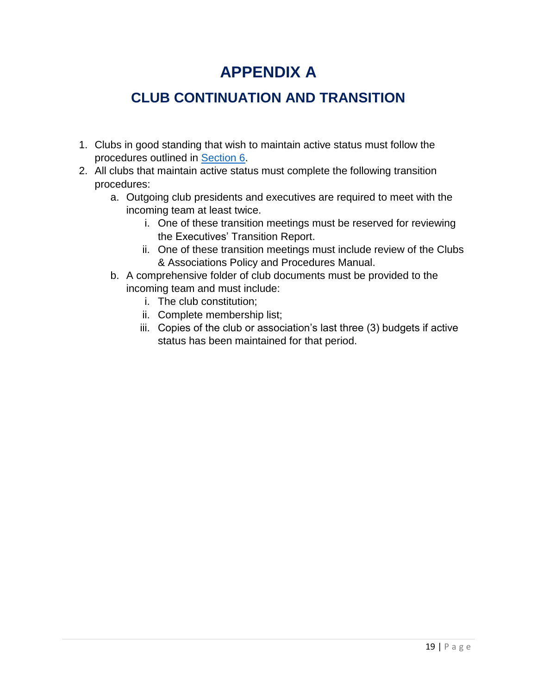## **APPENDIX A**

## <span id="page-21-0"></span>**CLUB CONTINUATION AND TRANSITION**

- 1. Clubs in good standing that wish to maintain active status must follow the procedures outlined in [Section 6.](#page-7-0)
- <span id="page-21-1"></span>2. All clubs that maintain active status must complete the following transition procedures:
	- a. Outgoing club presidents and executives are required to meet with the incoming team at least twice.
		- i. One of these transition meetings must be reserved for reviewing the Executives' Transition Report.
		- ii. One of these transition meetings must include review of the Clubs & Associations Policy and Procedures Manual.
	- b. A comprehensive folder of club documents must be provided to the incoming team and must include:
		- i. The club constitution;
		- ii. Complete membership list;
		- iii. Copies of the club or association's last three (3) budgets if active status has been maintained for that period.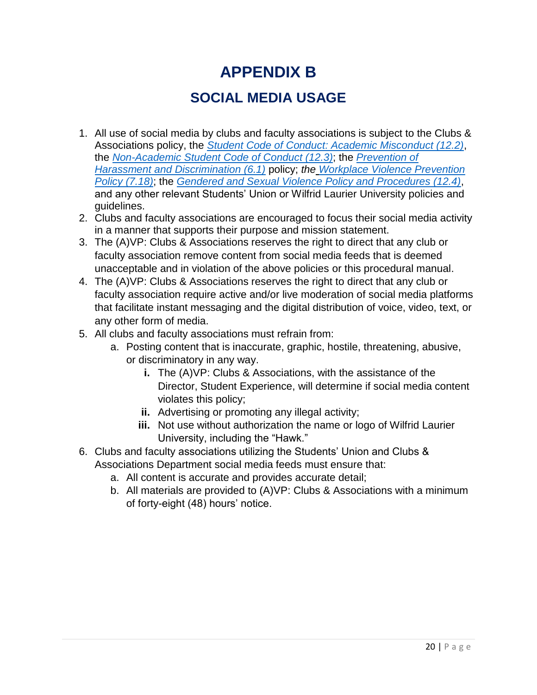## **APPENDIX B**

## **SOCIAL MEDIA USAGE**

- 1. All use of social media by clubs and faculty associations is subject to the Clubs & Associations policy, the *Student Code of Conduct: [Academic Misconduct \(12.2\)](https://www.wlu.ca/about/governance/assets/resources/12.2-student-code-of-conduct-and-discipline.html)*, the *Non-Academic Student [Code of Conduct](https://www.wlu.ca/about/governance/assets/resources/12.3-non-academic-student-code-of-conduct.html) (12.3)*; the *[Prevention of](https://wlu.ca/about/governance/assets/resources/6.1-prevention-of-harassment-and-discrimination.html)  [Harassment and Discrimination \(6.1\)](https://wlu.ca/about/governance/assets/resources/6.1-prevention-of-harassment-and-discrimination.html)* policy; *the [Workplace Violence Prevention](https://wlu.ca/about/governance/assets/resources/7.18-workplace-violence-prevention-policy.html)  [Policy \(7.18\)](https://wlu.ca/about/governance/assets/resources/7.18-workplace-violence-prevention-policy.html)*; the *[Gendered and Sexual Violence Policy and Procedures \(12.4\)](https://wlu.ca/about/governance/assets/resources/12.4-gendered-and-sexual-violence-policy-and-procedures.html)*, and any other relevant Students' Union or Wilfrid Laurier University policies and guidelines.
- 2. Clubs and faculty associations are encouraged to focus their social media activity in a manner that supports their purpose and mission statement.
- 3. The (A)VP: Clubs & Associations reserves the right to direct that any club or faculty association remove content from social media feeds that is deemed unacceptable and in violation of the above policies or this procedural manual.
- 4. The (A)VP: Clubs & Associations reserves the right to direct that any club or faculty association require active and/or live moderation of social media platforms that facilitate instant messaging and the digital distribution of voice, video, text, or any other form of media.
- 5. All clubs and faculty associations must refrain from:
	- a. Posting content that is inaccurate, graphic, hostile, threatening, abusive, or discriminatory in any way.
		- **i.** The (A)VP: Clubs & Associations, with the assistance of the Director, Student Experience, will determine if social media content violates this policy;
		- **ii.** Advertising or promoting any illegal activity;
		- **iii.** Not use without authorization the name or logo of Wilfrid Laurier University, including the "Hawk."
- 6. Clubs and faculty associations utilizing the Students' Union and Clubs & Associations Department social media feeds must ensure that:
	- a. All content is accurate and provides accurate detail;
	- b. All materials are provided to (A)VP: Clubs & Associations with a minimum of forty-eight (48) hours' notice.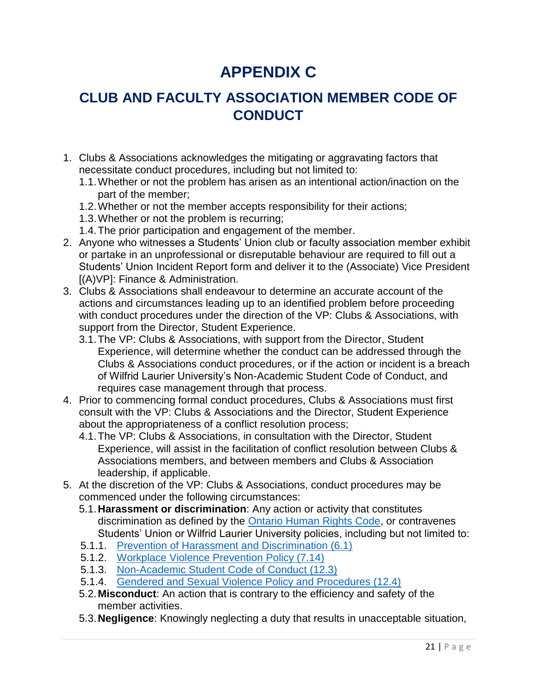# **APPENDIX C**

## <span id="page-23-0"></span>**CLUB AND FACULTY ASSOCIATION MEMBER CODE OF CONDUCT**

- 1. Clubs & Associations acknowledges the mitigating or aggravating factors that necessitate conduct procedures, including but not limited to:
	- 1.1.Whether or not the problem has arisen as an intentional action/inaction on the part of the member;
	- 1.2.Whether or not the member accepts responsibility for their actions;
	- 1.3.Whether or not the problem is recurring;
	- 1.4.The prior participation and engagement of the member.
- 2. Anyone who witnesses a Students' Union club or faculty association member exhibit or partake in an unprofessional or disreputable behaviour are required to fill out a Students' Union Incident Report form and deliver it to the (Associate) Vice President [(A)VP]: Finance & Administration.
- 3. Clubs & Associations shall endeavour to determine an accurate account of the actions and circumstances leading up to an identified problem before proceeding with conduct procedures under the direction of the VP: Clubs & Associations, with support from the Director, Student Experience.
	- 3.1.The VP: Clubs & Associations, with support from the Director, Student Experience, will determine whether the conduct can be addressed through the Clubs & Associations conduct procedures, or if the action or incident is a breach of Wilfrid Laurier University's Non-Academic Student Code of Conduct, and requires case management through that process.
- 4. Prior to commencing formal conduct procedures, Clubs & Associations must first consult with the VP: Clubs & Associations and the Director, Student Experience about the appropriateness of a conflict resolution process;
	- 4.1.The VP: Clubs & Associations, in consultation with the Director, Student Experience, will assist in the facilitation of conflict resolution between Clubs & Associations members, and between members and Clubs & Association leadership, if applicable.
- 5. At the discretion of the VP: Clubs & Associations, conduct procedures may be commenced under the following circumstances:
	- 5.1.**Harassment or discrimination**: Any action or activity that constitutes discrimination as defined by the [Ontario Human Rights Code,](http://www.ohrc.on.ca/en/ontario-human-rights-code) or contravenes Students' Union or Wilfrid Laurier University policies, including but not limited to:
	- 5.1.1. [Prevention of Harassment and Discrimination \(6.1\)](https://www.wlu.ca/about/governance/assets/resources/6.1-prevention-of-harassment-and-discrimination.html)
	- 5.1.2. [Workplace Violence Prevention Policy \(7.14\)](https://www.wlu.ca/about/governance/assets/resources/7.18-workplace-violence-prevention-policy.html)
	- 5.1.3. [Non-Academic Student Code of Conduct \(12.3\)](https://www.wlu.ca/about/governance/assets/resources/12.3-non-academic-student-code-of-conduct.html)
	- 5.1.4. [Gendered and Sexual Violence Policy and Procedures \(12.4\)](https://www.wlu.ca/about/governance/assets/resources/12.4-gendered-and-sexual-violence-policy-and-procedures.html)
	- 5.2.**Misconduct**: An action that is contrary to the efficiency and safety of the member activities.
	- 5.3.**Negligence**: Knowingly neglecting a duty that results in unacceptable situation,